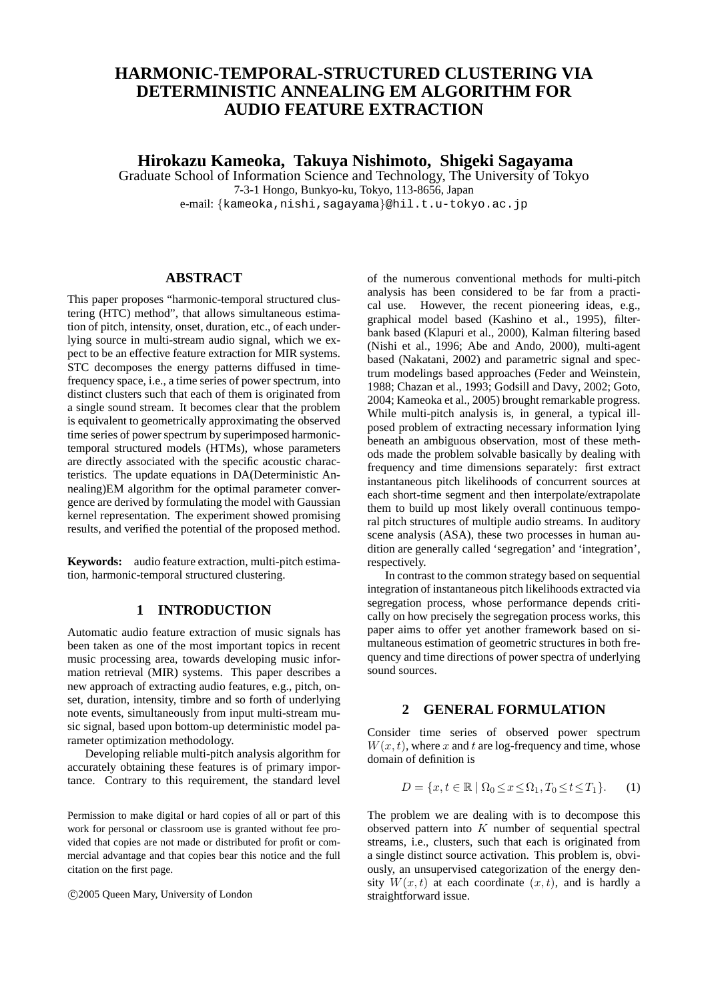# **HARMONIC-TEMPORAL-STRUCTURED CLUSTERING VIA DETERMINISTIC ANNEALING EM ALGORITHM FOR AUDIO FEATURE EXTRACTION**

**Hirokazu Kameoka, Takuya Nishimoto, Shigeki Sagayama**

Graduate School of Information Science and Technology, The University of Tokyo 7-3-1 Hongo, Bunkyo-ku, Tokyo, 113-8656, Japan

e-mail: *{*kameoka,nishi,sagayama*}*@hil.t.u-tokyo.ac.jp

## **ABSTRACT**

This paper proposes "harmonic-temporal structured clustering (HTC) method", that allows simultaneous estimation of pitch, intensity, onset, duration, etc., of each underlying source in multi-stream audio signal, which we expect to be an effective feature extraction for MIR systems. STC decomposes the energy patterns diffused in timefrequency space, i.e., a time series of power spectrum, into distinct clusters such that each of them is originated from a single sound stream. It becomes clear that the problem is equivalent to geometrically approximating the observed time series of power spectrum by superimposed harmonictemporal structured models (HTMs), whose parameters are directly associated with the specific acoustic characteristics. The update equations in DA(Deterministic Annealing)EM algorithm for the optimal parameter convergence are derived by formulating the model with Gaussian kernel representation. The experiment showed promising results, and verified the potential of the proposed method.

**Keywords:** audio feature extraction, multi-pitch estimation, harmonic-temporal structured clustering.

## **1 INTRODUCTION**

Automatic audio feature extraction of music signals has been taken as one of the most important topics in recent music processing area, towards developing music information retrieval (MIR) systems. This paper describes a new approach of extracting audio features, e.g., pitch, onset, duration, intensity, timbre and so forth of underlying note events, simultaneously from input multi-stream music signal, based upon bottom-up deterministic model parameter optimization methodology.

Developing reliable multi-pitch analysis algorithm for accurately obtaining these features is of primary importance. Contrary to this requirement, the standard level

Permission to make digital or hard copies of all or part of this work for personal or classroom use is granted without fee provided that copies are not made or distributed for profit or commercial advantage and that copies bear this notice and the full citation on the first page.

*°*c 2005 Queen Mary, University of London

of the numerous conventional methods for multi-pitch analysis has been considered to be far from a practical use. However, the recent pioneering ideas, e.g., graphical model based (Kashino et al., 1995), filterbank based (Klapuri et al., 2000), Kalman filtering based (Nishi et al., 1996; Abe and Ando, 2000), multi-agent based (Nakatani, 2002) and parametric signal and spectrum modelings based approaches (Feder and Weinstein, 1988; Chazan et al., 1993; Godsill and Davy, 2002; Goto, 2004; Kameoka et al., 2005) brought remarkable progress. While multi-pitch analysis is, in general, a typical illposed problem of extracting necessary information lying beneath an ambiguous observation, most of these methods made the problem solvable basically by dealing with frequency and time dimensions separately: first extract instantaneous pitch likelihoods of concurrent sources at each short-time segment and then interpolate/extrapolate them to build up most likely overall continuous temporal pitch structures of multiple audio streams. In auditory scene analysis (ASA), these two processes in human audition are generally called 'segregation' and 'integration', respectively.

In contrast to the common strategy based on sequential integration of instantaneous pitch likelihoods extracted via segregation process, whose performance depends critically on how precisely the segregation process works, this paper aims to offer yet another framework based on simultaneous estimation of geometric structures in both frequency and time directions of power spectra of underlying sound sources.

# **2 GENERAL FORMULATION**

Consider time series of observed power spectrum  $W(x, t)$ , where *x* and *t* are log-frequency and time, whose domain of definition is

$$
D = \{x, t \in \mathbb{R} \mid \Omega_0 \le x \le \Omega_1, T_0 \le t \le T_1\}.
$$
 (1)

The problem we are dealing with is to decompose this observed pattern into *K* number of sequential spectral streams, i.e., clusters, such that each is originated from a single distinct source activation. This problem is, obviously, an unsupervised categorization of the energy density  $W(x, t)$  at each coordinate  $(x, t)$ , and is hardly a straightforward issue.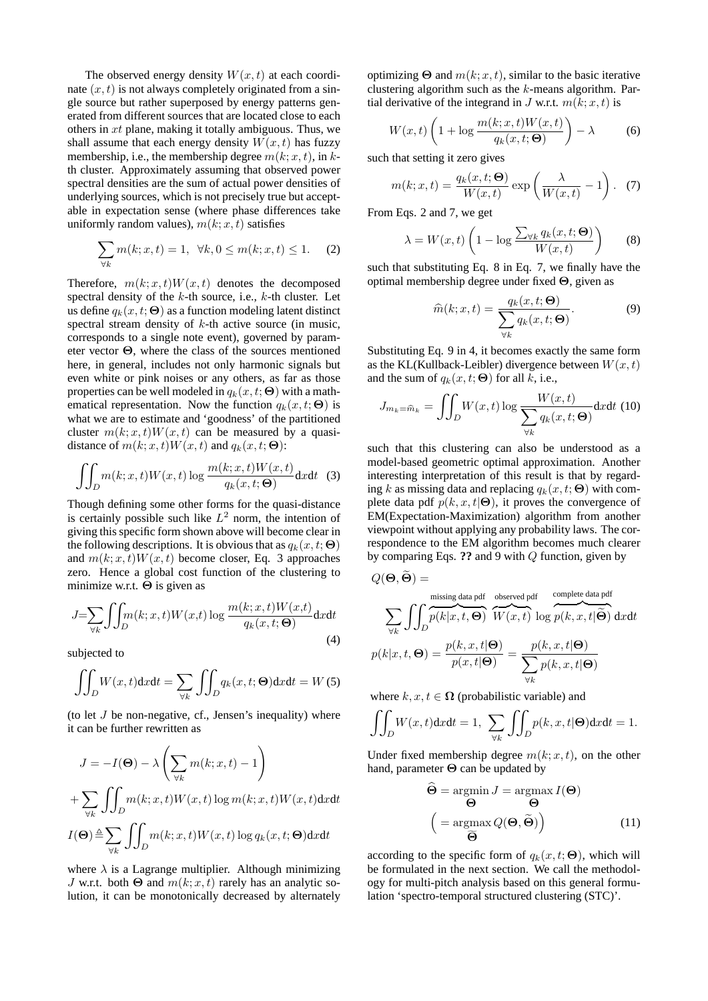The observed energy density  $W(x, t)$  at each coordinate  $(x, t)$  is not always completely originated from a single source but rather superposed by energy patterns generated from different sources that are located close to each others in *xt* plane, making it totally ambiguous. Thus, we shall assume that each energy density  $W(x, t)$  has fuzzy membership, i.e., the membership degree  $m(k; x, t)$ , in  $k$ th cluster. Approximately assuming that observed power spectral densities are the sum of actual power densities of underlying sources, which is not precisely true but acceptable in expectation sense (where phase differences take uniformly random values),  $m(k; x, t)$  satisfies

$$
\sum_{\forall k} m(k; x, t) = 1, \ \forall k, 0 \le m(k; x, t) \le 1.
$$
 (2)

Therefore,  $m(k; x, t)W(x, t)$  denotes the decomposed spectral density of the *k*-th source, i.e., *k*-th cluster. Let us define  $q_k(x, t; \Theta)$  as a function modeling latent distinct spectral stream density of *k*-th active source (in music, corresponds to a single note event), governed by parameter vector **Θ**, where the class of the sources mentioned here, in general, includes not only harmonic signals but even white or pink noises or any others, as far as those properties can be well modeled in  $q_k(x, t; \Theta)$  with a mathematical representation. Now the function  $q_k(x, t; \Theta)$  is what we are to estimate and 'goodness' of the partitioned cluster  $m(k; x, t)W(x, t)$  can be measured by a quasidistance of  $m(k; x, t)W(x, t)$  and  $q_k(x, t; \Theta)$ :

$$
\iint_D m(k; x, t) W(x, t) \log \frac{m(k; x, t) W(x, t)}{q_k(x, t; \Theta)} dx dt
$$
 (3)

Though defining some other forms for the quasi-distance is certainly possible such like *L* <sup>2</sup> norm, the intention of giving this specific form shown above will become clear in the following descriptions. It is obvious that as  $q_k(x, t; \Theta)$ and  $m(k; x, t)W(x, t)$  become closer, Eq. 3 approaches zero. Hence a global cost function of the clustering to minimize w.r.t. **Θ** is given as

$$
J = \sum_{\forall k} \iint_D m(k; x, t) W(x, t) \log \frac{m(k; x, t) W(x, t)}{q_k(x, t; \Theta)} dx dt
$$
\n(4)

subjected to

$$
\iint_D W(x,t) \mathrm{d}x \mathrm{d}t = \sum_{\forall k} \iint_D q_k(x,t; \Theta) \mathrm{d}x \mathrm{d}t = W(5)
$$

(to let *J* be non-negative, cf., Jensen's inequality) where it can be further rewritten as

$$
J = -I(\Theta) - \lambda \left( \sum_{\forall k} m(k; x, t) - 1 \right)
$$
  
+ 
$$
\sum_{\forall k} \iint_D m(k; x, t) W(x, t) \log m(k; x, t) W(x, t) dx dt
$$
  

$$
I(\Theta) \triangleq \sum_{\forall k} \iint_D m(k; x, t) W(x, t) \log q_k(x, t; \Theta) dx dt
$$

where  $\lambda$  is a Lagrange multiplier. Although minimizing *J* w.r.t. both  $\Theta$  and  $m(k; x, t)$  rarely has an analytic solution, it can be monotonically decreased by alternately optimizing  $\Theta$  and  $m(k; x, t)$ , similar to the basic iterative clustering algorithm such as the *k*-means algorithm. Partial derivative of the integrand in *J* w.r.t.  $m(k; x, t)$  is

$$
W(x,t)\left(1+\log\frac{m(k;x,t)W(x,t)}{q_k(x,t;\Theta)}\right)-\lambda\qquad \quad \text{(6)}
$$

such that setting it zero gives

$$
m(k; x, t) = \frac{q_k(x, t; \Theta)}{W(x, t)} \exp\left(\frac{\lambda}{W(x, t)} - 1\right). \tag{7}
$$

From Eqs. 2 and 7, we get

$$
\lambda = W(x, t) \left( 1 - \log \frac{\sum_{\forall k} q_k(x, t; \Theta)}{W(x, t)} \right) \tag{8}
$$

such that substituting Eq. 8 in Eq. 7, we finally have the optimal membership degree under fixed **Θ**, given as

$$
\widehat{m}(k;x,t) = \frac{q_k(x,t;\Theta)}{\sum_{\forall k} q_k(x,t;\Theta)}.
$$
\n(9)

Substituting Eq. 9 in 4, it becomes exactly the same form as the KL(Kullback-Leibler) divergence between  $W(x, t)$ and the sum of  $q_k(x, t; \Theta)$  for all *k*, i.e.,

$$
J_{m_k = \widehat{m}_k} = \iint_D W(x, t) \log \frac{W(x, t)}{\sum_{\forall k} q_k(x, t; \Theta)} dx dt
$$
 (10)

such that this clustering can also be understood as a model-based geometric optimal approximation. Another interesting interpretation of this result is that by regarding *k* as missing data and replacing  $q_k(x, t; \Theta)$  with complete data pdf  $p(k, x, t | \Theta)$ , it proves the convergence of EM(Expectation-Maximization) algorithm from another viewpoint without applying any probability laws. The correspondence to the EM algorithm becomes much clearer by comparing Eqs. **??** and 9 with *Q* function, given by

$$
Q(\mathbf{\Theta}, \widetilde{\mathbf{\Theta}}) = \frac{\text{missing data pdf}}{\sum_{\forall k} \int \int_D p(k|x, t, \mathbf{\Theta})} \frac{\text{observed pdf}}{W(x, t)} \frac{\text{complete data pdf}}{\log p(k, x, t | \widetilde{\mathbf{\Theta}})} \, \text{d}x \text{d}t
$$

$$
p(k|x, t, \mathbf{\Theta}) = \frac{p(k, x, t | \mathbf{\Theta})}{p(x, t | \mathbf{\Theta})} = \frac{p(k, x, t | \mathbf{\Theta})}{\sum_{\forall k} p(k, x, t | \mathbf{\Theta})}
$$

where  $k, x, t \in \Omega$  (probabilistic variable) and

$$
\iint_D W(x,t) \mathrm{d}x \mathrm{d}t = 1, \sum_{\forall k} \iint_D p(k, x, t | \Theta) \mathrm{d}x \mathrm{d}t = 1.
$$

Under fixed membership degree  $m(k; x, t)$ , on the other hand, parameter **Θ** can be updated by

$$
\widehat{\Theta} = \operatorname*{argmin}_{\Theta} J = \operatorname*{argmax}_{\Theta} I(\Theta)
$$
\n
$$
\left( = \operatorname*{argmax}_{\widehat{\Theta}} Q(\Theta, \widetilde{\Theta}) \right) \tag{11}
$$

according to the specific form of  $q_k(x, t; \Theta)$ , which will be formulated in the next section. We call the methodology for multi-pitch analysis based on this general formulation 'spectro-temporal structured clustering (STC)'.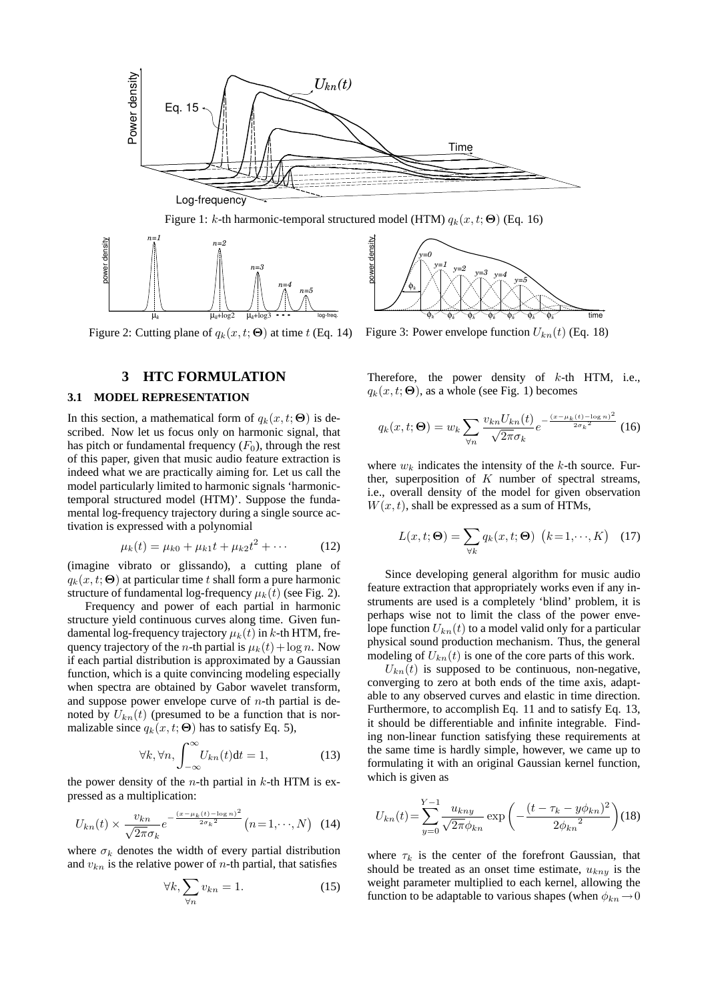

Figure 2: Cutting plane of  $q_k(x, t; \Theta)$  at time *t* (Eq. 14)

### **3 HTC FORMULATION**

### **3.1 MODEL REPRESENTATION**

In this section, a mathematical form of  $q_k(x, t; \Theta)$  is described. Now let us focus only on harmonic signal, that has pitch or fundamental frequency  $(F_0)$ , through the rest of this paper, given that music audio feature extraction is indeed what we are practically aiming for. Let us call the model particularly limited to harmonic signals 'harmonictemporal structured model (HTM)'. Suppose the fundamental log-frequency trajectory during a single source activation is expressed with a polynomial

$$
\mu_k(t) = \mu_{k0} + \mu_{k1}t + \mu_{k2}t^2 + \cdots
$$
 (12)

(imagine vibrato or glissando), a cutting plane of  $q_k(x, t; \Theta)$  at particular time *t* shall form a pure harmonic structure of fundamental log-frequency  $\mu_k(t)$  (see Fig. 2).

Frequency and power of each partial in harmonic structure yield continuous curves along time. Given fundamental log-frequency trajectory  $\mu_k(t)$  in *k*-th HTM, frequency trajectory of the *n*-th partial is  $\mu_k(t) + \log n$ . Now if each partial distribution is approximated by a Gaussian function, which is a quite convincing modeling especially when spectra are obtained by Gabor wavelet transform, and suppose power envelope curve of *n*-th partial is denoted by  $U_{kn}(t)$  (presumed to be a function that is normalizable since  $q_k(x, t; \Theta)$  has to satisfy Eq. 5),

$$
\forall k, \forall n, \int_{-\infty}^{\infty} U_{kn}(t)dt = 1,\tag{13}
$$

the power density of the *n*-th partial in *k*-th HTM is expressed as a multiplication:

$$
U_{kn}(t) \times \frac{v_{kn}}{\sqrt{2\pi}\sigma_k} e^{-\frac{(x-\mu_k(t)-\log n)^2}{2\sigma_k^2}} (n=1,\cdots,N) \quad (14)
$$

where  $\sigma_k$  denotes the width of every partial distribution and  $v_{kn}$  is the relative power of *n*-th partial, that satisfies

$$
\forall k, \sum_{\forall n} v_{kn} = 1. \tag{15}
$$



 $q_k(x, t; \Theta)$ , as a whole (see Fig. 1) becomes

$$
q_k(x, t; \Theta) = w_k \sum_{\forall n} \frac{v_{kn} U_{kn}(t)}{\sqrt{2\pi} \sigma_k} e^{-\frac{(x - \mu_k(t) - \log n)^2}{2\sigma_k^2}} (16)
$$

where  $w_k$  indicates the intensity of the  $k$ -th source. Further, superposition of *K* number of spectral streams, i.e., overall density of the model for given observation  $W(x, t)$ , shall be expressed as a sum of HTMs,

$$
L(x, t; \Theta) = \sum_{\forall k} q_k(x, t; \Theta) \ \left(k = 1, \cdots, K\right) \tag{17}
$$

Since developing general algorithm for music audio feature extraction that appropriately works even if any instruments are used is a completely 'blind' problem, it is perhaps wise not to limit the class of the power envelope function  $U_{kn}(t)$  to a model valid only for a particular physical sound production mechanism. Thus, the general modeling of  $U_{kn}(t)$  is one of the core parts of this work.

 $U_{kn}(t)$  is supposed to be continuous, non-negative, converging to zero at both ends of the time axis, adaptable to any observed curves and elastic in time direction. Furthermore, to accomplish Eq. 11 and to satisfy Eq. 13, it should be differentiable and infinite integrable. Finding non-linear function satisfying these requirements at the same time is hardly simple, however, we came up to formulating it with an original Gaussian kernel function, which is given as

$$
U_{kn}(t) = \sum_{y=0}^{Y-1} \frac{u_{kny}}{\sqrt{2\pi} \phi_{kn}} \exp\left(-\frac{(t-\tau_k - y\phi_{kn})^2}{2\phi_{kn}^2}\right)
$$
(18)

where  $\tau_k$  is the center of the forefront Gaussian, that should be treated as an onset time estimate, *ukny* is the weight parameter multiplied to each kernel, allowing the function to be adaptable to various shapes (when  $\phi_{kn} \to 0$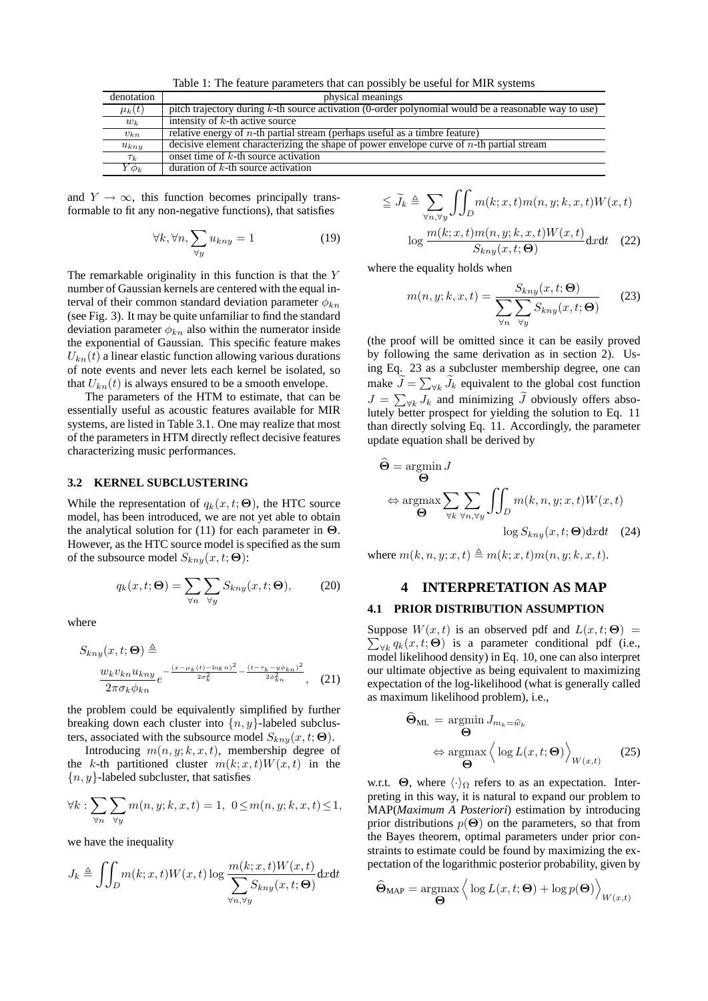Table 1: The feature parameters that can possibly be useful for MIR systems

| denotation  | physical meanings                                                                                    |
|-------------|------------------------------------------------------------------------------------------------------|
| $\mu_k(t)$  | pitch trajectory during k-th source activation (0-order polynomial would be a reasonable way to use) |
| $w_k$       | intensity of $k$ -th active source                                                                   |
| $v_{kn}$    | relative energy of $n$ -th partial stream (perhaps useful as a timbre feature)                       |
| $u_{k n y}$ | decisive element characterizing the shape of power envelope curve of $n$ -th partial stream          |
| $\tau_k$    | onset time of $k$ -th source activation                                                              |
| $Y\phi_k$   | duration of $k$ -th source activation                                                                |

and  $Y \rightarrow \infty$ , this function becomes principally transformable to fit any non-negative functions), that satisfies

$$
\forall k, \forall n, \sum_{\forall y} u_{kny} = 1 \tag{19}
$$

The remarkable originality in this function is that the *Y* number of Gaussian kernels are centered with the equal interval of their common standard deviation parameter *φkn* (see Fig. 3). It may be quite unfamiliar to find the standard deviation parameter  $\phi_{kn}$  also within the numerator inside the exponential of Gaussian. This specific feature makes  $U_{kn}(t)$  a linear elastic function allowing various durations of note events and never lets each kernel be isolated, so that  $U_{kn}(t)$  is always ensured to be a smooth envelope.

The parameters of the HTM to estimate, that can be essentially useful as acoustic features available for MIR systems, are listed in Table 3.1. One may realize that most of the parameters in HTM directly reflect decisive features characterizing music performances.

#### **3.2 KERNEL SUBCLUSTERING**

While the representation of  $q_k(x, t; \Theta)$ , the HTC source model, has been introduced, we are not yet able to obtain the analytical solution for (11) for each parameter in **Θ**. However, as the HTC source model is specified as the sum of the subsource model  $S_{kny}(x, t; \Theta)$ :

$$
q_k(x, t; \Theta) = \sum_{\forall n} \sum_{\forall y} S_{kny}(x, t; \Theta), \qquad (20)
$$

where

$$
S_{kny}(x, t; \Theta) \triangleq \frac{w_k v_{kn} u_{kny}}{2\pi \sigma_k \phi_{kn}} e^{-\frac{(x - \mu_k(t) - \log n)^2}{2\sigma_k^2} - \frac{(t - \tau_k - y\phi_{kn})^2}{2\phi_{kn}^2}}, \quad (21)
$$

the problem could be equivalently simplified by further breaking down each cluster into  $\{n, y\}$ -labeled subclusters, associated with the subsource model  $S_{kny}(x, t; \Theta)$ .

Introducing  $m(n, y; k, x, t)$ , membership degree of the *k*-th partitioned cluster  $m(k; x, t)W(x, t)$  in the *{n, y}*-labeled subcluster, that satisfies

$$
\forall k : \sum_{\forall n} \sum_{\forall y} m(n, y; k, x, t) = 1, 0 \le m(n, y; k, x, t) \le 1,
$$

we have the inequality

$$
J_k \triangleq \iiint_D m(k; x, t) W(x, t) \log \frac{m(k; x, t) W(x, t)}{\sum_{\forall n, \forall y} S_{kny}(x, t; \Theta)} dx dt
$$

$$
\leq \widetilde{J}_k \triangleq \sum_{\forall n, \forall y} \iint_D m(k; x, t) m(n, y; k, x, t) W(x, t)
$$

$$
\log \frac{m(k; x, t) m(n, y; k, x, t) W(x, t)}{S_{kny}(x, t; \Theta)} dx dt \quad (22)
$$

where the equality holds when

$$
m(n, y; k, x, t) = \frac{S_{kny}(x, t; \Theta)}{\sum_{\forall n} \sum_{\forall y} S_{kny}(x, t; \Theta)}
$$
(23)

(the proof will be omitted since it can be easily proved by following the same derivation as in section 2). Using Eq. 23 as a subcluster membership degree, one can make  $\tilde{J} = \sum_{\forall k} \tilde{J}_k$  equivalent to the global cost function  $J = \sum_{\forall k} J_k$  and minimizing  $\widetilde{J}$  obviously offers absolutely better prospect for yielding the solution to Eq. 11 than directly solving Eq. 11. Accordingly, the parameter update equation shall be derived by

$$
\hat{\Theta} = \underset{\Theta}{\operatorname{argmin}} J
$$
  
\n
$$
\Leftrightarrow \underset{\Theta}{\operatorname{argmax}} \sum_{\forall k} \sum_{\forall n, \forall y} \iint_D m(k, n, y; x, t) W(x, t)
$$
  
\n
$$
\log S_{kny}(x, t; \Theta) dxdt \quad (24)
$$

where  $m(k, n, y; x, t) \triangleq m(k; x, t) m(n, y; k, x, t)$ .

# **4 INTERPRETATION AS MAP**

## **4.1 PRIOR DISTRIBUTION ASSUMPTION**

Suppose  $W(x,t)$  is an observed pdf and  $L(x,t; \Theta)$  =  $\sum_{\forall k} q_k(x, t; \Theta)$  is a parameter conditional pdf (i.e., model likelihood density) in Eq. 10, one can also interpret our ultimate objective as being equivalent to maximizing expectation of the log-likelihood (what is generally called as maximum likelihood problem), i.e.,

$$
\widehat{\Theta}_{\text{ML}} = \underset{\Theta}{\text{argmin}} J_{m_k = \widehat{w}_k}
$$
  
\n
$$
\Leftrightarrow \underset{\Theta}{\text{argmax}} \left\langle \log L(x, t; \Theta) \right\rangle_{W(x, t)} \quad (25)
$$

w.r.t.  $\Theta$ , where  $\langle \cdot \rangle_{\Omega}$  refers to as an expectation. Interpreting in this way, it is natural to expand our problem to MAP(*Maximum A Posteriori*) estimation by introducing prior distributions  $p(\Theta)$  on the parameters, so that from the Bayes theorem, optimal parameters under prior constraints to estimate could be found by maximizing the expectation of the logarithmic posterior probability, given by

$$
\widehat{\boldsymbol{\Theta}}_{\text{MAP}} = \underset{\boldsymbol{\Theta}}{\text{argmax}} \left\langle \log L(x, t; \boldsymbol{\Theta}) + \log p(\boldsymbol{\Theta}) \right\rangle_{W(x, t)}
$$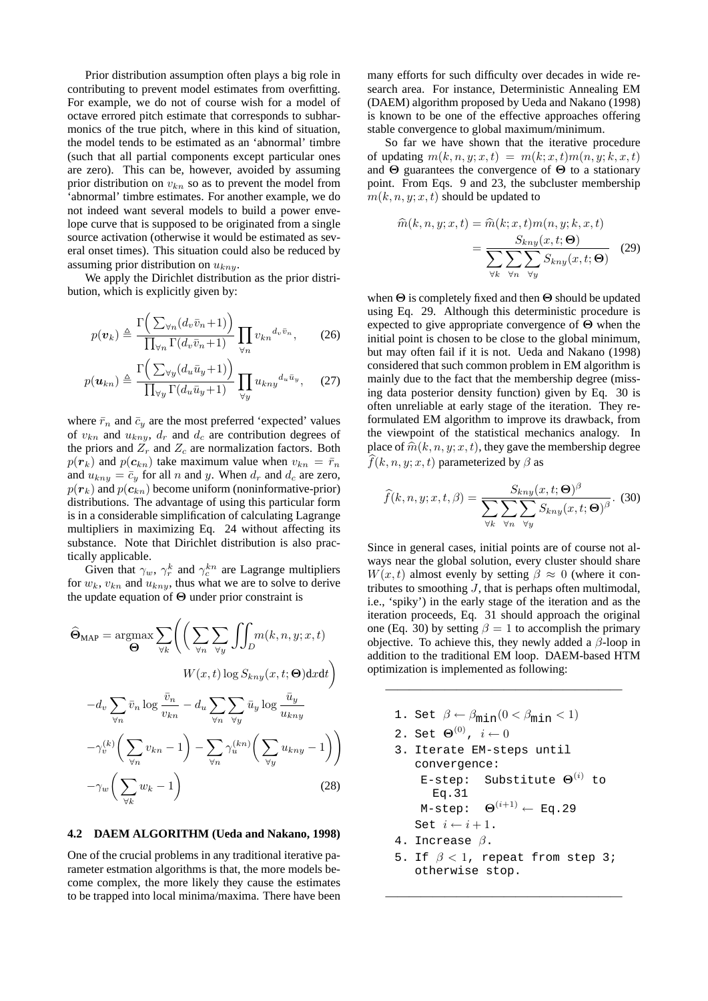Prior distribution assumption often plays a big role in contributing to prevent model estimates from overfitting. For example, we do not of course wish for a model of octave errored pitch estimate that corresponds to subharmonics of the true pitch, where in this kind of situation, the model tends to be estimated as an 'abnormal' timbre (such that all partial components except particular ones are zero). This can be, however, avoided by assuming prior distribution on *vkn* so as to prevent the model from 'abnormal' timbre estimates. For another example, we do not indeed want several models to build a power envelope curve that is supposed to be originated from a single source activation (otherwise it would be estimated as several onset times). This situation could also be reduced by assuming prior distribution on *ukny*.

We apply the Dirichlet distribution as the prior distribution, which is explicitly given by:

$$
p(\boldsymbol{v}_k) \triangleq \frac{\Gamma\left(\sum_{\forall n} (d_v \bar{v}_n + 1)\right)}{\prod_{\forall n} \Gamma(d_v \bar{v}_n + 1)} \prod_{\forall n} v_{kn}^{d_v \bar{v}_n},\qquad(26)
$$

$$
p(\boldsymbol{u}_{kn}) \triangleq \frac{\Gamma\left(\sum_{\forall y} (d_u \bar{u}_y + 1)\right)}{\prod_{\forall y} \Gamma(d_u \bar{u}_y + 1)} \prod_{\forall y} u_{kny}^{d_u \bar{u}_y}, \quad (27)
$$

where  $\bar{r}_n$  and  $\bar{c}_y$  are the most preferred 'expected' values of  $v_{kn}$  and  $u_{kny}$ ,  $d_r$  and  $d_c$  are contribution degrees of the priors and  $Z_r$  and  $Z_c$  are normalization factors. Both  $p(\mathbf{r}_k)$  and  $p(\mathbf{c}_{kn})$  take maximum value when  $v_{kn} = \bar{r}_n$ and  $u_{k n y} = \overline{c}_y$  for all *n* and *y*. When  $d_r$  and  $d_c$  are zero,  $p(r_k)$  and  $p(c_{kn})$  become uniform (noninformative-prior) distributions. The advantage of using this particular form is in a considerable simplification of calculating Lagrange multipliers in maximizing Eq. 24 without affecting its substance. Note that Dirichlet distribution is also practically applicable.

Given that  $\gamma_w$ ,  $\gamma_r^k$  and  $\gamma_c^{kn}$  are Lagrange multipliers for  $w_k$ ,  $v_{kn}$  and  $u_{kny}$ , thus what we are to solve to derive the update equation of **Θ** under prior constraint is

$$
\widehat{\Theta}_{MAP} = \underset{\Theta}{\operatorname{argmax}} \sum_{\forall k} \left( \left( \sum_{\forall n} \sum_{\forall y} \int \int_{D} m(k, n, y; x, t) \right. \right. \\
\left. W(x, t) \log S_{kny}(x, t; \Theta) \mathrm{d}x \mathrm{d}t \right)
$$
\n
$$
-d_v \sum_{\forall n} \overline{v}_n \log \frac{\overline{v}_n}{v_{kn}} - d_u \sum_{\forall n} \sum_{\forall y} \overline{u}_y \log \frac{\overline{u}_y}{u_{kny}}
$$
\n
$$
-\gamma_v^{(k)} \left( \sum_{\forall n} v_{kn} - 1 \right) - \sum_{\forall n} \gamma_u^{(kn)} \left( \sum_{\forall y} u_{kny} - 1 \right)
$$
\n
$$
-\gamma_w \left( \sum_{\forall k} w_k - 1 \right) \tag{28}
$$

#### **4.2 DAEM ALGORITHM (Ueda and Nakano, 1998)**

One of the crucial problems in any traditional iterative parameter estmation algorithms is that, the more models become complex, the more likely they cause the estimates to be trapped into local minima/maxima. There have been

many efforts for such difficulty over decades in wide research area. For instance, Deterministic Annealing EM (DAEM) algorithm proposed by Ueda and Nakano (1998) is known to be one of the effective approaches offering stable convergence to global maximum/minimum.

So far we have shown that the iterative procedure of updating  $m(k, n, y; x, t) = m(k; x, t) m(n, y; k, x, t)$ and **Θ** guarantees the convergence of **Θ** to a stationary point. From Eqs. 9 and 23, the subcluster membership  $m(k, n, y; x, t)$  should be updated to

$$
\widehat{m}(k, n, y; x, t) = \widehat{m}(k; x, t) m(n, y; k, x, t)
$$

$$
= \frac{S_{kny}(x, t; \Theta)}{\sum_{\forall k} \sum_{\forall n} \sum_{\forall y} S_{kny}(x, t; \Theta)} \quad (29)
$$

when **Θ** is completely fixed and then **Θ** should be updated using Eq. 29. Although this deterministic procedure is expected to give appropriate convergence of **Θ** when the initial point is chosen to be close to the global minimum, but may often fail if it is not. Ueda and Nakano (1998) considered that such common problem in EM algorithm is mainly due to the fact that the membership degree (missing data posterior density function) given by Eq. 30 is often unreliable at early stage of the iteration. They reformulated EM algorithm to improve its drawback, from the viewpoint of the statistical mechanics analogy. In place of  $\hat{m}(k, n, y; x, t)$ , they gave the membership degree  $\widehat{f}(k, n, y; x, t)$  parameterized by  $\beta$  as

$$
\widehat{f}(k,n,y;x,t,\beta) = \frac{S_{kny}(x,t;\Theta)^{\beta}}{\sum_{\forall k} \sum_{\forall n} \sum_{\forall y} S_{kny}(x,t;\Theta)^{\beta}}.
$$
 (30)

Since in general cases, initial points are of course not always near the global solution, every cluster should share *W*(*x, t*) almost evenly by setting  $\beta \approx 0$  (where it contributes to smoothing *J*, that is perhaps often multimodal, i.e., 'spiky') in the early stage of the iteration and as the iteration proceeds, Eq. 31 should approach the original one (Eq. 30) by setting  $\beta = 1$  to accomplish the primary objective. To achieve this, they newly added a *β*-loop in addition to the traditional EM loop. DAEM-based HTM optimization is implemented as following:

————————————————————

1. Set  $\beta \leftarrow \beta_{\min}(0 < \beta_{\min} < 1)$ 2. Set  $\Theta^{(0)}$ ,  $i \leftarrow 0$ 3. Iterate EM-steps until convergence: E-step: Substitute **Θ**(*i*) to Eq.31 M-step: **<sup>Θ</sup>**(*i*+1) *<sup>←</sup>* Eq.29 Set  $i \leftarrow i + 1$ . 4. Increase *β*. 5. If *β <* 1, repeat from step 3; otherwise stop.

————————————————————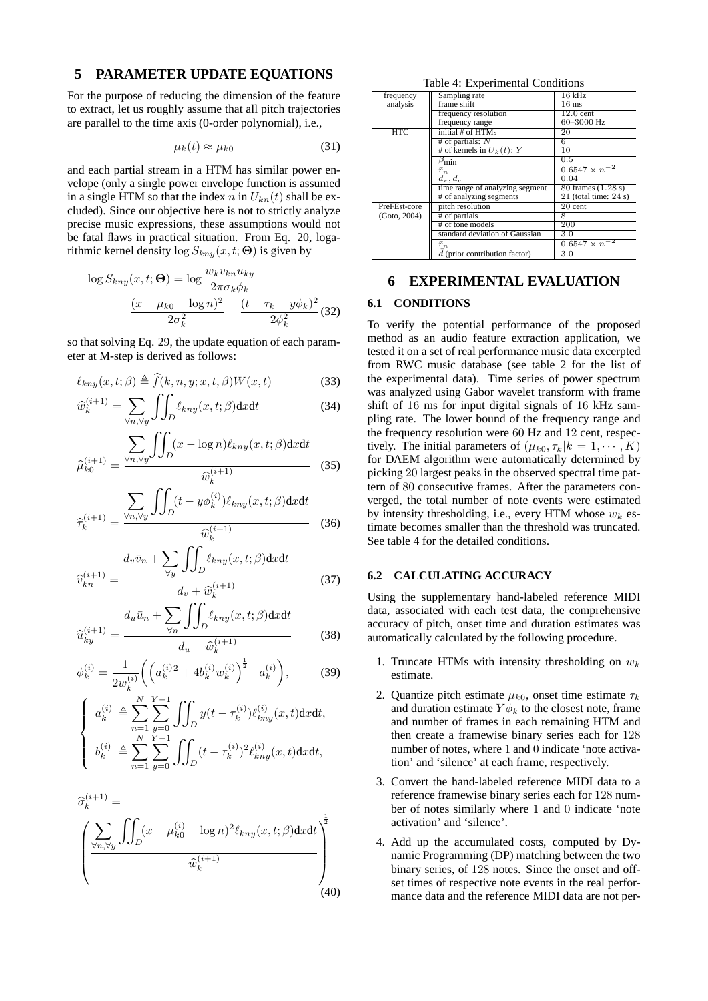# **5 PARAMETER UPDATE EQUATIONS**

For the purpose of reducing the dimension of the feature to extract, let us roughly assume that all pitch trajectories are parallel to the time axis (0-order polynomial), i.e.,

$$
\mu_k(t) \approx \mu_{k0} \tag{31}
$$

and each partial stream in a HTM has similar power envelope (only a single power envelope function is assumed in a single HTM so that the index *n* in  $U_{kn}(t)$  shall be excluded). Since our objective here is not to strictly analyze precise music expressions, these assumptions would not be fatal flaws in practical situation. From Eq. 20, logarithmic kernel density  $\log S_{kny}(x, t; \Theta)$  is given by

$$
\log S_{kny}(x, t; \Theta) = \log \frac{w_k v_{kn} u_{ky}}{2\pi \sigma_k \phi_k} - \frac{(x - \mu_{k0} - \log n)^2}{2\sigma_k^2} - \frac{(t - \tau_k - y\phi_k)^2}{2\phi_k^2} (32)
$$

so that solving Eq. 29, the update equation of each parameter at M-step is derived as follows:

$$
\ell_{kny}(x,t;\beta) \triangleq \widehat{f}(k,n,y;x,t,\beta)W(x,t) \tag{33}
$$

$$
\widehat{w}_{k}^{(i+1)} = \sum_{\forall n, \forall y} \iint_{D} \ell_{kny}(x, t; \beta) \mathrm{d}x \mathrm{d}t \tag{34}
$$

$$
\widehat{\mu}_{k0}^{(i+1)} = \frac{\sum_{\forall n, \forall y} \iint_D (x - \log n) \ell_{kny}(x, t; \beta) \mathrm{d}x \mathrm{d}t}{\widehat{w}_k^{(i+1)}} \tag{35}
$$

$$
\widehat{\tau}_{k}^{(i+1)} = \frac{\sum_{\forall n, \forall y} \iint_D (t - y \phi_k^{(i)}) \ell_{kny}(x, t; \beta) \mathrm{d}x \mathrm{d}t}{\widehat{w}_k^{(i+1)}} \tag{36}
$$

$$
\widehat{v}_{kn}^{(i+1)} = \frac{d_v \bar{v}_n + \sum_{\forall y} \iint_D \ell_{kny}(x, t; \beta) \mathrm{d}x \mathrm{d}t}{d_v + \widehat{w}_k^{(i+1)}}
$$
(37)

$$
\widehat{u}_{ky}^{(i+1)} = \frac{d_u \bar{u}_n + \sum_{\forall n} \iint_D \ell_{kny}(x, t; \beta) \mathrm{d}x \mathrm{d}t}{d_u + \widehat{w}_k^{(i+1)}}
$$
(38)

$$
\phi_k^{(i)} = \frac{1}{2w_k^{(i)}} \bigg( \left( a_k^{(i)}{}^2 + 4b_k^{(i)}w_k^{(i)} \right)^{\frac{1}{2}} - a_k^{(i)} \bigg), \tag{39}
$$

$$
\begin{cases}\na_k^{(i)} \triangleq \sum_{n=1}^N \sum_{y=0}^{Y-1} \iint_D y(t - \tau_k^{(i)}) \ell_{kny}^{(i)}(x, t) \mathrm{d}x \mathrm{d}t, \\
b_k^{(i)} \triangleq \sum_{n=1}^N \sum_{y=0}^{Y-1} \iint_D (t - \tau_k^{(i)})^2 \ell_{kny}^{(i)}(x, t) \mathrm{d}x \mathrm{d}t,\n\end{cases}
$$

$$
\hat{\sigma}_k^{(i+1)} = \left(\frac{\sum_{\forall n, \forall y} \iint_D (x - \mu_{k0}^{(i)} - \log n)^2 \ell_{kny}(x, t; \beta) \mathrm{d}x \mathrm{d}t}{\widehat{w}_k^{(i+1)}}\right)^{\frac{1}{2}}
$$
\n(40)

| Table 4: Experimental Conditions |  |
|----------------------------------|--|
|----------------------------------|--|

| frequency    | Sampling rate                   | 16 kHz                     |
|--------------|---------------------------------|----------------------------|
| analysis     | frame shift                     | $16 \text{ ms}$            |
|              | frequency resolution            | $12.0$ cent                |
|              | frequency range                 | 60-3000 Hz                 |
| <b>HTC</b>   | initial # of HTMs               | 20                         |
|              | # of partials: $N$              | 6                          |
|              | # of kernels in $U_k(t)$ : Y    | 10                         |
|              | $\beta_{\min}$                  | 0.5                        |
|              | $\bar{r}_n$                     | $0.6547 \times n^{-2}$     |
|              | $d_r, d_c$                      | 0.04                       |
|              | time range of analyzing segment | 80 frames (1.28 s)         |
|              | # of analyzing segments         | $21$ (total time: $24 s$ ) |
| PreFEst-core | pitch resolution                | 20 cent                    |
| (Goto, 2004) | # of partials                   | 8                          |
|              | # of tone models                | 200                        |
|              | standard deviation of Gaussian  | 3.0                        |
|              | $\bar{r}_n$                     | $0.6547 \times n^{-2}$     |
|              | $d$ (prior contribution factor) | 3.0                        |

# **6 EXPERIMENTAL EVALUATION**

#### **6.1 CONDITIONS**

To verify the potential performance of the proposed method as an audio feature extraction application, we tested it on a set of real performance music data excerpted from RWC music database (see table 2 for the list of the experimental data). Time series of power spectrum was analyzed using Gabor wavelet transform with frame shift of 16 ms for input digital signals of 16 kHz sampling rate. The lower bound of the frequency range and the frequency resolution were 60 Hz and 12 cent, respectively. The initial parameters of  $(\mu_{k0}, \tau_k | k = 1, \dots, K)$ for DAEM algorithm were automatically determined by picking 20 largest peaks in the observed spectral time pattern of 80 consecutive frames. After the parameters converged, the total number of note events were estimated by intensity thresholding, i.e., every HTM whose *w<sup>k</sup>* estimate becomes smaller than the threshold was truncated. See table 4 for the detailed conditions.

## **6.2 CALCULATING ACCURACY**

Using the supplementary hand-labeled reference MIDI data, associated with each test data, the comprehensive accuracy of pitch, onset time and duration estimates was automatically calculated by the following procedure.

- 1. Truncate HTMs with intensity thresholding on *w<sup>k</sup>* estimate.
- 2. Quantize pitch estimate  $\mu_{k0}$ , onset time estimate  $\tau_k$ and duration estimate  $Y\phi_k$  to the closest note, frame and number of frames in each remaining HTM and then create a framewise binary series each for 128 number of notes, where 1 and 0 indicate 'note activation' and 'silence' at each frame, respectively.
- 3. Convert the hand-labeled reference MIDI data to a reference framewise binary series each for 128 number of notes similarly where 1 and 0 indicate 'note activation' and 'silence'.
- 4. Add up the accumulated costs, computed by Dynamic Programming (DP) matching between the two binary series, of 128 notes. Since the onset and offset times of respective note events in the real performance data and the reference MIDI data are not per-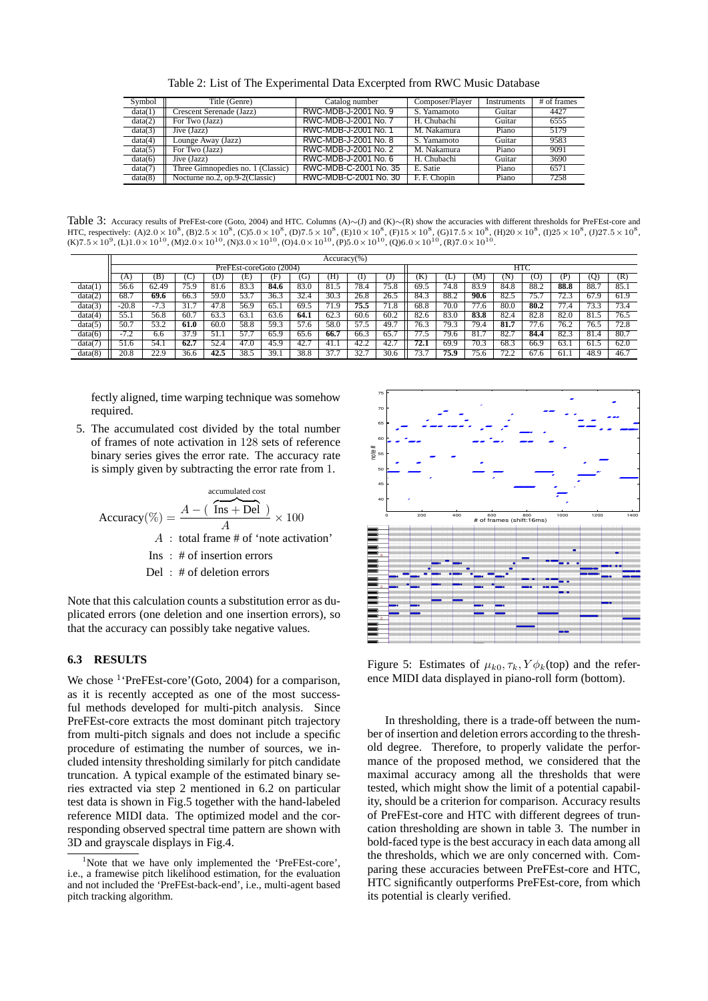|  |  |  | Table 2: List of The Experimental Data Excerpted from RWC Music Database |
|--|--|--|--------------------------------------------------------------------------|
|--|--|--|--------------------------------------------------------------------------|

| Symbol  | Title (Genre)                     | Catalog number        | Composer/Player | Instruments | # of frames |
|---------|-----------------------------------|-----------------------|-----------------|-------------|-------------|
| data(1) | Crescent Serenade (Jazz)          | RWC-MDB-J-2001 No. 9  | S. Yamamoto     | Guitar      | 4427        |
| data(2) | For Two (Jazz)                    | RWC-MDB-J-2001 No. 7  | H. Chubachi     | Guitar      | 6555        |
| data(3) | Jive (Jazz)                       | RWC-MDB-J-2001 No. 1  | M. Nakamura     | Piano       | 5179        |
| data(4) | Lounge Away (Jazz)                | RWC-MDB-J-2001 No. 8  | S. Yamamoto     | Guitar      | 9583        |
| data(5) | For Two (Jazz)                    | RWC-MDB-J-2001 No. 2  | M. Nakamura     | Piano       | 9091        |
| data(6) | Jive (Jazz)                       | RWC-MDB-J-2001 No. 6  | H. Chubachi     | Guitar      | 3690        |
| data(7) | Three Gimnopedies no. 1 (Classic) | RWC-MDB-C-2001 No. 35 | E. Satie        | Piano       | 6571        |
| data(8) | Nocturne no.2, op.9-2(Classic)    | RWC-MDB-C-2001 No. 30 | F. F. Chopin    | Piano       | 7258        |

Table 3: Accuracy results of PreFEst-core (Goto, 2004) and HTC. Columns (A)∼(J) and (K)∼(R) show the accuracies with different thresholds for PreFEst-core and HTC, respectively: (A)2.0 × 10<sup>8</sup>, (B)2.5 × 10<sup>8</sup>, (C)5.0 × 10<sup>8</sup>, (D)7.5 × 10<sup>8</sup>, (E)10 × 10<sup>8</sup>, (F)15 × 10<sup>8</sup>, (G)17.5 × 10<sup>8</sup>, (H)20 × 10<sup>8</sup>, (I)25 × 10<sup>8</sup>, (J)27.5 × 10<sup>8</sup>, (K)7.5 × 10<sup>9</sup>, (L)1.0 × 10<sup>10</sup>, (M)2.0 × 10

|         | $Accuracy$ %)           |        |                    |      |      |      |                       |      |      |                   |                       |      |      |      |           |               |      |                   |
|---------|-------------------------|--------|--------------------|------|------|------|-----------------------|------|------|-------------------|-----------------------|------|------|------|-----------|---------------|------|-------------------|
|         | PreFEst-coreGoto (2004) |        |                    |      |      |      |                       |      |      | HTC               |                       |      |      |      |           |               |      |                   |
|         | А                       | ΈB     |                    | D    | E.   | F    | Ü                     | Ή    |      | IJ                | ĸ                     | L    | M    | 'N   | Ō         | P             | Q    | (R)               |
| data(1  | 56.6                    | 62.49  | 75.9               | 81.6 | 83.3 | 84.6 | 83.                   | 81.5 | 78.4 | 75.8              | 69.5                  | 74.8 | 83.9 | 84.8 | 88.2      | 88.8          | 88.7 | 85.               |
| data(2) | 68.7                    | 69.6   | 66.3               | 59.0 | 53.7 | 36.3 | 32.4                  | 30.3 | 26.8 | 26.5              | 84.3                  | 88.2 | 90.6 | 82.5 | 75.7      | $\sim$<br>Z.: | 67.9 | 61.9              |
| data(3) | $-20.8$                 | $-7.3$ | 31.                | 47.8 | 56.9 | 65.  | 69.5                  | 71.9 | 75.5 | 71.8              | 68.8                  | 70.0 | 77.6 | 80.0 | 80.2      | 7.4           | 73.3 | 73.4              |
| data(4) | 55.1                    | 56.8   | $\overline{60}$ .7 | 63.3 | 63.1 | 63.6 | 64.1                  | 62.3 | 60.6 | 60.2              | 82.6                  | 83.0 | 83.8 | 82.4 | 82.8      | 82.0          | 81.5 | 76.5              |
| data(5) | 50.7                    | 53.2   | 61.0               | 60.0 | 58.8 | 59.3 | 57.6                  | 58.0 | 57.5 | 49.               | 76.3                  | 79.3 | 79.4 | 81.7 | 77<br>7.0 | 76.2          | 76.5 | 72.8              |
| data(6) | 7.2<br>- 1              | 6.6    | 37.9               | 51   | 57.7 | 65.9 | 65.6                  | 66.7 | 66.3 | 65.7              | $\overline{a}$<br>7.5 | 79.6 | 81.7 | 82.7 | 84.4      | 82.3          | 81.4 | 80.7              |
| data(7) | 51.6                    | 54.1   | 62.7               | 52.4 | 47.0 | 45.9 | 42.<br>$\overline{ }$ | 41.1 | 42.2 | $\overline{42.7}$ | 72.1                  | 69.9 | 70.3 | 68.3 | 66.9      | 63.           | 61.5 | 62.0              |
| data(8) | 20.8                    | 22.9   | 36.6               | 42.5 | 38.5 | 39.  | 38.8                  | 37.7 | 32.7 | 30.6              | 73.7                  | 75.9 | 75.6 | 72.2 | 67.6      | 61.           | 48.9 | $\overline{46.7}$ |

fectly aligned, time warping technique was somehow required.

5. The accumulated cost divided by the total number of frames of note activation in 128 sets of reference binary series gives the error rate. The accuracy rate is simply given by subtracting the error rate from 1.

$$
Accuracy(\%) = \frac{A - (\overbrace{\text{Ins} + \text{Del}}^{\text{accumulated cost}})}{A} \times 100
$$
  
  $A : \text{total frame} \# \text{ of 'note activation'}$   
  $\text{Ins} : \# \text{ of insertion errors}$   
  $\text{Del} : \# \text{ of deletion errors}$ 

Note that this calculation counts a substitution error as duplicated errors (one deletion and one insertion errors), so that the accuracy can possibly take negative values.

## **6.3 RESULTS**

We chose <sup>1</sup>'PreFEst-core'(Goto, 2004) for a comparison, as it is recently accepted as one of the most successful methods developed for multi-pitch analysis. Since PreFEst-core extracts the most dominant pitch trajectory from multi-pitch signals and does not include a specific procedure of estimating the number of sources, we included intensity thresholding similarly for pitch candidate truncation. A typical example of the estimated binary series extracted via step 2 mentioned in 6.2 on particular test data is shown in Fig.5 together with the hand-labeled reference MIDI data. The optimized model and the corresponding observed spectral time pattern are shown with 3D and grayscale displays in Fig.4.



Figure 5: Estimates of  $\mu_{k0}, \tau_k, Y \phi_k$ (top) and the reference MIDI data displayed in piano-roll form (bottom).

In thresholding, there is a trade-off between the number of insertion and deletion errors according to the threshold degree. Therefore, to properly validate the performance of the proposed method, we considered that the maximal accuracy among all the thresholds that were tested, which might show the limit of a potential capability, should be a criterion for comparison. Accuracy results of PreFEst-core and HTC with different degrees of truncation thresholding are shown in table 3. The number in bold-faced type is the best accuracy in each data among all the thresholds, which we are only concerned with. Comparing these accuracies between PreFEst-core and HTC, HTC significantly outperforms PreFEst-core, from which its potential is clearly verified.

<sup>&</sup>lt;sup>1</sup>Note that we have only implemented the 'PreFEst-core', i.e., a framewise pitch likelihood estimation, for the evaluation and not included the 'PreFEst-back-end', i.e., multi-agent based pitch tracking algorithm.